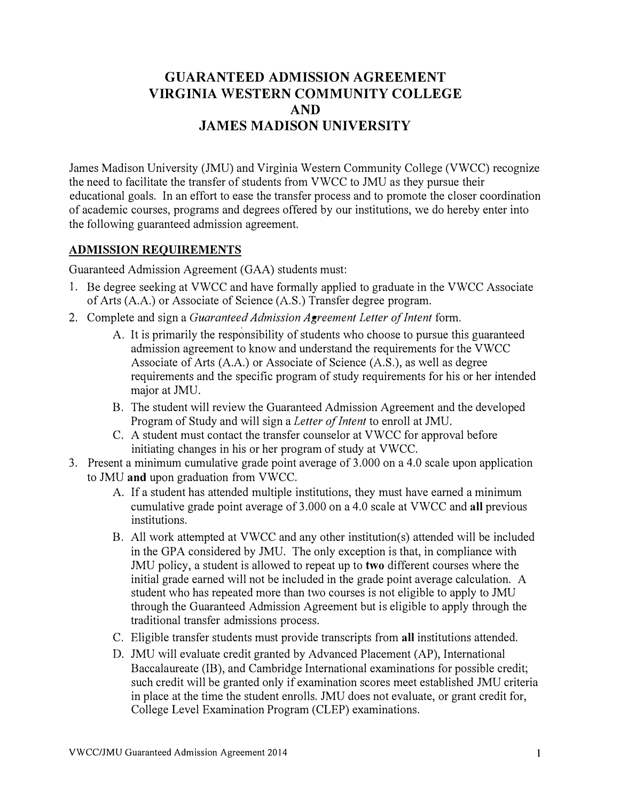# **GUARANTEED ADMISSION AGREEMENT VIRGINIA WESTERN COMMUNITY COLLEGE AND JAMES MADISON UNIVERSITY**

James Madison University (JMU) and Virginia Western Community College (VWCC) recognize the need to facilitate the transfer of students from VWCC to JMU as they pursue their educational goals. In an effort to ease the transfer process and to promote the closer coordination of academic courses, programs and degrees offered by our institutions, we do hereby enter into the following guaranteed admission agreement.

#### **ADMISSION REQUIREMENTS**

Guaranteed Admission Agreement (GAA) students must:

- 1. Be degree seeking at VWCC and have formally applied to graduate in the VWCC Associate of Arts (A.A.) or Associate of Science (A.S.) Transfer degree program.
- 2. Complete and sign a *Guaranteed Admission Agreement Letter of Intent* form.
	- A. It is primarily the responsibility of students who choose to pursue this guaranteed admission agreement to know and understand the requirements for the VWCC Associate of Arts (A.A.) or Associate of Science (A.S.), as well as degree requirements and the specific program of study requirements for his or her intended major at JMU.
	- B. The student will review the Guaranteed Admission Agreement and the developed Program of Study and will sign a *Letter of Intent* to enroll at JMU.
	- C. A student must contact the transfer counselor at VWCC for approval before initiating changes in his or her program of study at VWCC.
- 3. Present a minimum cumulative grade point average of 3.000 on a 4.0 scale upon application to JMU **and** upon graduation from VWCC.
	- A. If a student has attended multiple institutions, they must have earned a minimum cumulative grade point average of 3.000 on a 4.0 scale at VWCC and **all** previous institutions.
	- B. All work attempted at VWCC and any other institution(s) attended will be included in the GPA considered by JMU. The only exception is that, in compliance with JMU policy, a student is allowed to repeat up to **two** different courses where the initial grade earned will not be included in the grade point average calculation. A student who has repeated more than two courses is not eligible to apply to JMU through the Guaranteed Admission Agreement but is eligible to apply through the traditional transfer admissions process.
	- C. Eligible transfer students must provide transcripts from **all** institutions attended.
	- D. JMU will evaluate credit granted by Advanced Placement (AP), International Baccalaureate (IB), and Cambridge International examinations for possible credit; such credit will be granted only if examination scores meet established JMU criteria in place at the time the student enrolls. JMU does not evaluate, or grant credit for, College Level Examination Program (CLEP) examinations.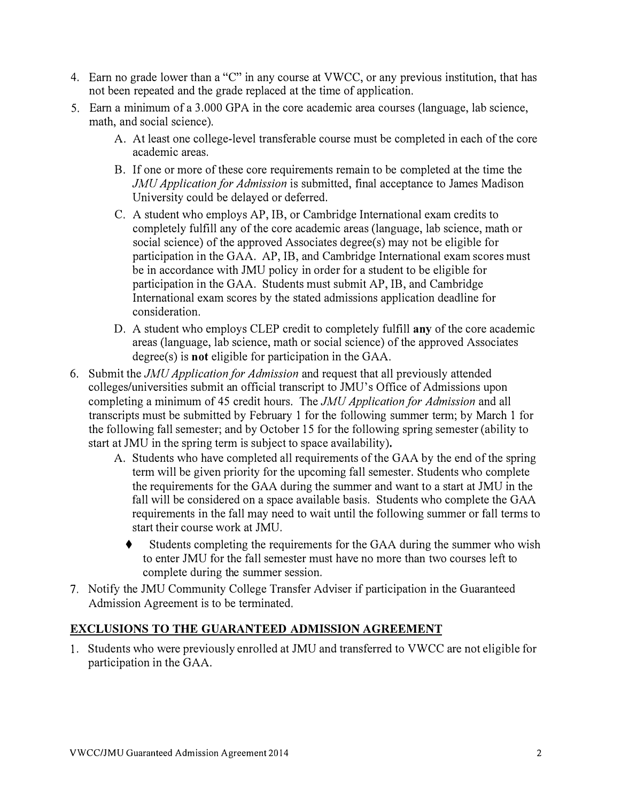- **4. Earn no grade lower than a "C" in any course at VWCC, or any previous institution, that has not been repeated and the grade replaced at the time of application.**
- **5. Earn a minimum of a 3.000 GPA in the core academic area courses (language, lab science, math, and social science).** 
	- **A. At least one college-level transferable course must be completed in each of the core academic areas.**
	- **B. If one or more of these core requirements remain to be completed at the time the**  *JMU Application for Admission* **is submitted, final acceptance to James Madison University could be delayed or deferred.**
	- **C. A student who employs AP, IB, or Cambridge International exam credits to completely fulfill any of the core academic areas (language, lab science, math or social science) of the approved Associates degree(s) may not be eligible for participation in the GAA. AP, IB, and Cambridge International exam scores must be in accordance with JMU policy in order for a student to be eligible for participation in the GAA. Students must submit AP, IB, and Cambridge International exam scores by the stated admissions application deadline for consideration.**
	- **D. A student who employs CLEP credit to completely fulfill any of the core academic areas (language, lab science, math or social science) of the approved Associates degree(s) is not eligible for participation in the GAA.**
- **6. Submit the** *JMU Application for Admission* **and request that all previously attended colleges/universities submit an official transcript to JMU' s Office of Admissions upon completing a minimum of 45 credit hours. The** *JMU Application for Admission* **and all transcripts must be submitted by February 1 for the following summer term; by March 1 for the following fall semester; and by October 15 for the following spring semester (ability to start at JMU in the spring term is subject to space availability),** 
	- **A. Students who have completed all requirements of the GAA by the end of the spring term will be given priority for the upcoming fall semester. Students who complete the requirements for the GAA during the summer and want to a start at JMU in the fall will be considered on a space available basis. Students who complete the GAA requirements in the fall may need to wait until the following summer or fall terms to start their course work at JMU.** 
		- **♦ Students completing the requirements for the GAA during the summer who wish to enter JMU for the fall semester must have no more than two courses left to complete during the summer session.**
- **7. Notify the JMU Community College Transfer Adviser if participation in the Guaranteed Admission Agreement is to be terminated.**

### **EXCLUSIONS TO THE GUARANTEED ADMISSION AGREEMENT**

**1. Students who were previously enrolled at JMU and transferred to VWCC are not eligible for participation in the GAA.**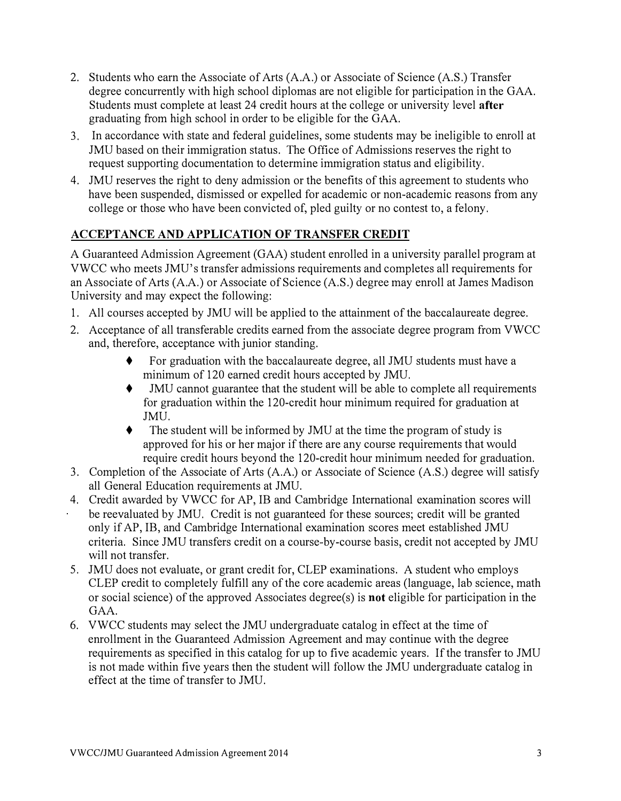- **2. Students who earn the Associate of Arts (A.A.) or Associate of Science (A.S.) Transfer degree concurrently with high school diplomas are not eligible for participation in the GAA. Students must complete at least 24 credit hours at the college or university level after graduating from high school in order to be eligible for the GAA.**
- **3. In accordance with state and federal guidelines, some students may be ineligible to enroll at JMU based on their immigration status. The Office of Admissions reserves the right to request supporting documentation to determine immigration status and eligibility.**
- **4. JMU reserves the right to deny admission or the benefits of this agreement to students who have been suspended, dismissed or expelled for academic or non-academic reasons from any college or those who have been convicted of, pled guilty or no contest to, a felony.**

## **ACCEPTANCE AND APPLICATION OF TRANSFER CREDIT**

**A Guaranteed Admission Agreement (GAA) student enrolled in a university parallel program at VWCC who meets JMU's transfer admissions requirements and completes all requirements for an Associate of Arts (A.A.) or Associate of Science (A.S.) degree may enroll at James Madison University and may expect the following:** 

- **1. All courses accepted by JMU will be applied to the attainment of the baccalaureate degree.**
- **2. Acceptance of all transferable credits earned from the associate degree program from VWCC and, therefore, acceptance with junior standing.** 
	- **♦ For graduation with the baccalaureate degree, all JMU students must have a minimum of 120 earned credit hours accepted by JMU.**
	- **IMU** cannot guarantee that the student will be able to complete all requirements **for graduation within the 120-credit hour minimum required for graduation at JMU.**
	- **♦ The student will be informed by JMU at the time the program of study is approved for his or her major if there are any course requirements that would require credit hours beyond the 120-credit hour minimum needed for graduation.**
- **3. Completion of the Associate of Arts (A.A.) or Associate of Science (A.S.) degree will satisfy all General Education requirements at JMU.**
- **4. Credit awarded by VWCC for AP, IB and Cambridge International examination scores will be reevaluated by JMU. Credit is not guaranteed for these sources; credit will be granted only if AP, IB, and Cambridge International examination scores meet established JMU criteria. Since JMU transfers credit on a course-by-course basis, credit not accepted by JMU will not transfer.**
- **5. JMU does not evaluate, or grant credit for, CLEP examinations. A student who employs CLEP credit to completely fulfill any of the core academic areas (language, lab science, math or social science) of the approved Associates degree( s) is not eligible for participation in the GAA.**
- **6. VWCC students may select the JMU undergraduate catalog in effect at the time of enrollment in the Guaranteed Admission Agreement and may continue with the degree requirements as specified in this catalog for up to five academic years. If the transfer to JMU is not made within five years then the student will follow the JMU undergraduate catalog in effect at the time of transfer to JMU.**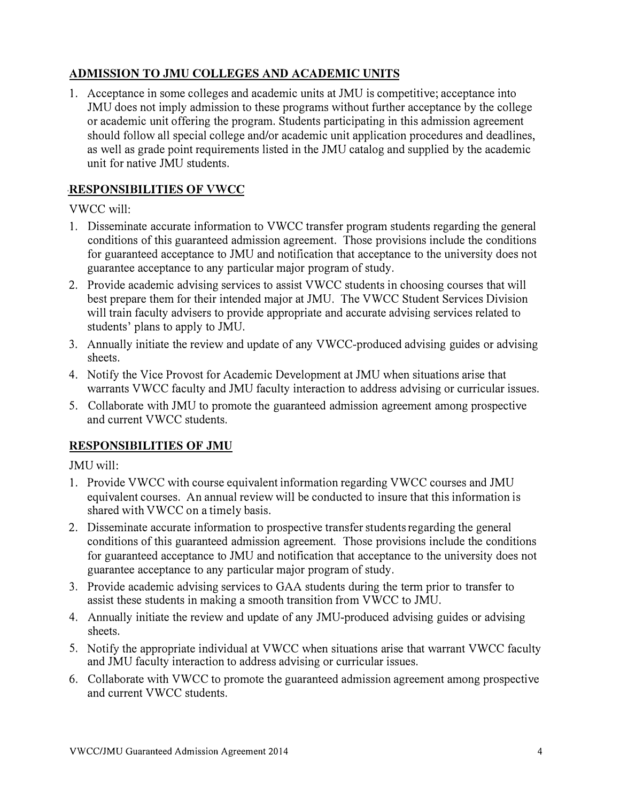### **ADMISSION TO JMU COLLEGES AND ACADEMIC UNITS**

**1. Acceptance in some colleges and academic units at JMU is competitive; acceptance into JMU does not imply admission to these programs without further acceptance by the college or academic unit offering the program. Students participating in this admission agreement should follow all special college and/or academic unit application procedures and deadlines, as well as grade point requirements listed in the JMU catalog and supplied by the academic unit for native JMU students.** 

### **,RESPONSIBILITIES OF VWCC**

**VWCC will:** 

- **1. Disseminate accurate information to VWCC transfer program students regarding the general conditions of this guaranteed admission agreement. Those provisions include the conditions for guaranteed acceptance to JMU and notification that acceptance to the university does not guarantee acceptance to any particular major program of study.**
- **2. Provide academic advising services to assist VWCC students in choosing courses that will best prepare them for their intended major at JMU. The VWCC Student Services Division will train faculty advisers to provide appropriate and accurate advising services related to students' plans to apply to JMU.**
- **3. Annually initiate the review and update of any VWCC-produced advising guides or advising sheets.**
- **4. Notify the Vice Provost for Academic Development at JMU when situations arise that warrants VWCC faculty and JMU faculty interaction to address advising or curricular issues.**
- **5. Collaborate with JMU to promote the guaranteed admission agreement among prospective and current VWCC students.**

### **RESPONSIBILITIES OF JMU**

**JMU will:** 

- **1. Provide VWCC with course equivalent information regarding VWCC courses and JMU equivalent courses. An annual review will be conducted to insure that this information is shared with VWCC on a timely basis.**
- **2. Disseminate accurate information to prospective transfer students regarding the general conditions of this guaranteed admission agreement. Those provisions include the conditions for guaranteed acceptance to JMU and notification that acceptance to the university does not guarantee acceptance to any particular major program of study.**
- **3. Provide academic advising services to GAA students during the term prior to transfer to assist these students in making a smooth transition from VWCC to JMU.**
- **4. Annually initiate the review and update of any JMU-produced advising guides or advising sheets.**
- **5. Notify the appropriate individual at VWCC when situations arise that warrant VWCC faculty and JMU faculty interaction to address advising or curricular issues.**
- **6. Collaborate with VWCC to promote the guaranteed admission agreement among prospective and current VWCC students.**